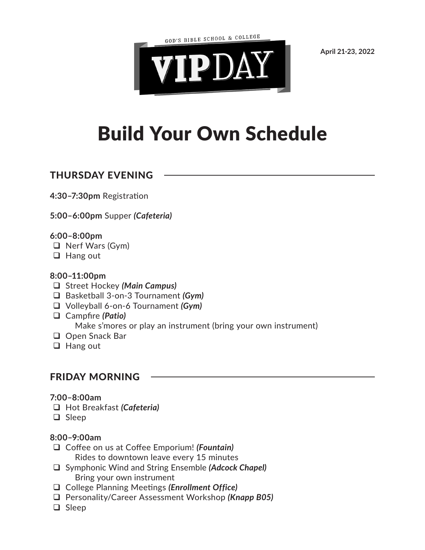GOD'S BIBLE SCHOOL & COLLEGE



**April 21-23, 2022**

# Build Your Own Schedule

## THURSDAY EVENING

**4:30–7:30pm** Registration

**5:00–6:00pm** Supper *(Cafeteria)*

## **6:00–8:00pm**

- $\Box$  Nerf Wars (Gym)
- $\Box$  Hang out

## **8:00–11:00pm**

- Street Hockey *(Main Campus)*
- Basketball 3-on-3 Tournament *(Gym)*
- Volleyball 6-on-6 Tournament *(Gym)*
- Campfire *(Patio)* Make s'mores or play an instrument (bring your own instrument)
- □ Open Snack Bar
- $\Box$  Hang out

# FRIDAY MORNING

## **7:00–8:00am**

- Hot Breakfast *(Cafeteria)*
- □ Sleep

## **8:00–9:00am**

- Coffee on us at Coffee Emporium! *(Fountain)* Rides to downtown leave every 15 minutes
- Symphonic Wind and String Ensemble *(Adcock Chapel)* Bring your own instrument
- College Planning Meetings *(Enrollment Office)*
- Personality/Career Assessment Workshop *(Knapp B05)*
- □ Sleep